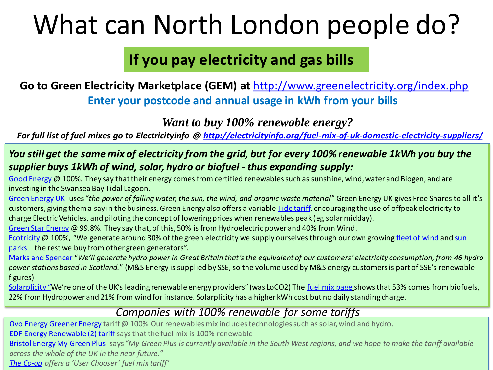# What can North London people do?

## **If you pay electricity and gas bills**

### **Go to Green Electricity Marketplace (GEM) at** <http://www.greenelectricity.org/index.php> **Enter your postcode and annual usage in kWh from your bills**

*Want to buy 100% renewable energy?*

*For full list of fuel mixes go to Electricityinfo @<http://electricityinfo.org/fuel-mix-of-uk-domestic-electricity-suppliers/>*

#### *You still get the same mix of electricity from the grid, but for every 100% renewable 1kWh you buy the supplier buys 1kWh of wind, solar, hydro or biofuel - thus expanding supply:*

[Good Energy](https://www.goodenergy.co.uk/our-energy/our-fuel-mix/) @ 100%. They say that their energy comes from certified renewables such as sunshine, wind, water and Biogen, and are investing in the Swansea Bay Tidal Lagoon.

[Green Energy UK](http://www.greenenergyuk.com/fuel-mix) uses "the power of falling water, the sun, the wind, and organic waste material" Green Energy UK gives Free Shares to all it's customers, giving them a say in the business. Green Energy also offers a variable [Tide tariff,](http://www.greenenergyuk.com/Tide) encouraging the use of offpeak electricity to charge Electric Vehicles, and piloting the concept of lowering prices when renewables peak (eg solar midday).

[Green Star Energy](http://www.mygreenstarenergy.com/Our-Energy-Tariffs/Our-Energy-Sources) @ 99.8%. They say that, of this, 50% is from Hydroelectric power and 40% from Wind.

[Ecotricity](http://www.ecotricity.co.uk/our-green-energy/energy-independence/our-fuel-mix) [@ 100%, "We generate around 30% of the green electricity we supply ourselves through](https://www.ecotricity.co.uk/our-green-energy/our-green-electricity/the-sun/sun-parks-gallery) our own growing [fleet of wind](https://www.ecotricity.co.uk/our-green-energy/our-green-electricity/from-the-wind/wind-parks-gallery) and sun parks - the rest we buy from other green generators".

[Marks and Spencer](http://www.mandsenergy.com/green-energy/) "*We'll generate hydro power in Great Britain that's the equivalent of our customers' electricity consumption, from 46 hydro power stations based in Scotland.*" (M&S Energy is supplied by SSE, so the volume used by M&S energy customers is part of SSE's renewable figures)

[Solarplicity](https://solarplicity.com/about/?tag=loco2-energy) "We're one of the UK's leading renewable energy providers" (was LoCO2) The [fuel mix page](https://solarplicity.com/about/our-fuel-mix/?_ga=2.197094629.836605416.1508598935-623851073.1504877878) shows that 53% comes from biofuels, 22% from Hydropower and 21% from wind for instance. Solarplicity has a higher kWh cost but no daily standing charge.

### *Companies with 100% renewable for some tariffs*

Ovo [Energy Greener Energy](https://www.ovoenergy.com/pay-monthly/greener) tariff @ 100% Our renewables mix includes technologies such as solar, wind and hydro. **[EDF Energy Renewable \(2\) tariff](http://www.edfenergy.com/fuel-mix)** says that the fuel mix is 100% renewable [Bristol Energy My Green Plus](https://bristol-energy.co.uk/about-my-green-plus) says "*My Green Plus is currently available in the South West regions, and we hope to make the tariff available across the whole of the UK in the near future." [The Co-op](http://www.cooperativeenergyhub.co.uk/generatormap.aspx) offers a 'User Chooser' fuel mix tariff'*